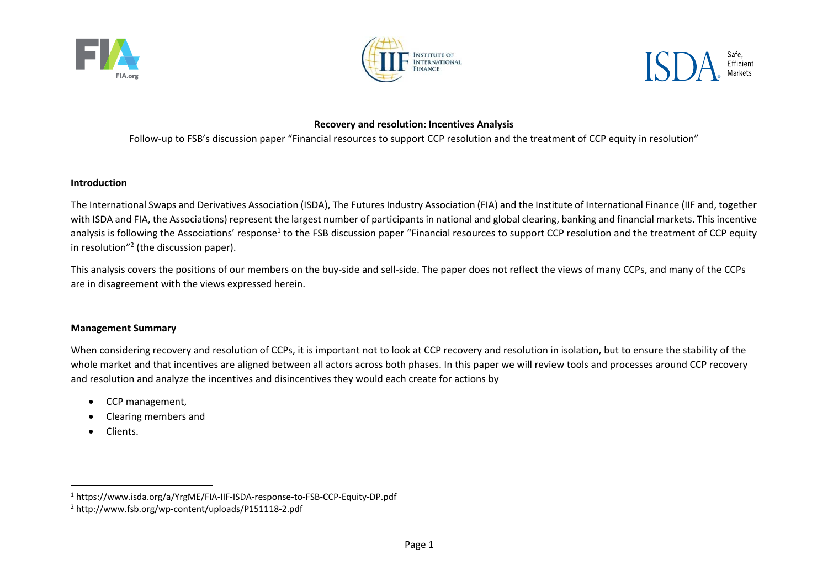





# **Recovery and resolution: Incentives Analysis**

Follow-up to FSB's discussion paper "Financial resources to support CCP resolution and the treatment of CCP equity in resolution"

## **Introduction**

The International Swaps and Derivatives Association (ISDA), The Futures Industry Association (FIA) and the Institute of International Finance (IIF and, together with ISDA and FIA, the Associations) represent the largest number of participants in national and global clearing, banking and financial markets. This incentive analysis is following the Associations' response<sup>1</sup> to the FSB discussion paper "Financial resources to support CCP resolution and the treatment of CCP equity in resolution"2 (the discussion paper).

This analysis covers the positions of our members on the buy‐side and sell‐side. The paper does not reflect the views of many CCPs, and many of the CCPs are in disagreement with the views expressed herein.

## **Management Summary**

When considering recovery and resolution of CCPs, it is important not to look at CCP recovery and resolution in isolation, but to ensure the stability of the whole market and that incentives are aligned between all actors across both phases. In this paper we will review tools and processes around CCP recovery and resolution and analyze the incentives and disincentives they would each create for actions by

- $\bullet$ CCP management,
- $\bullet$ Clearing members and
- $\bullet$ Clients.

<sup>1</sup> https://www.isda.org/a/YrgME/FIA‐IIF‐ISDA‐response‐to‐FSB‐CCP‐Equity‐DP.pdf

<sup>2</sup> http://www.fsb.org/wp‐content/uploads/P151118‐2.pdf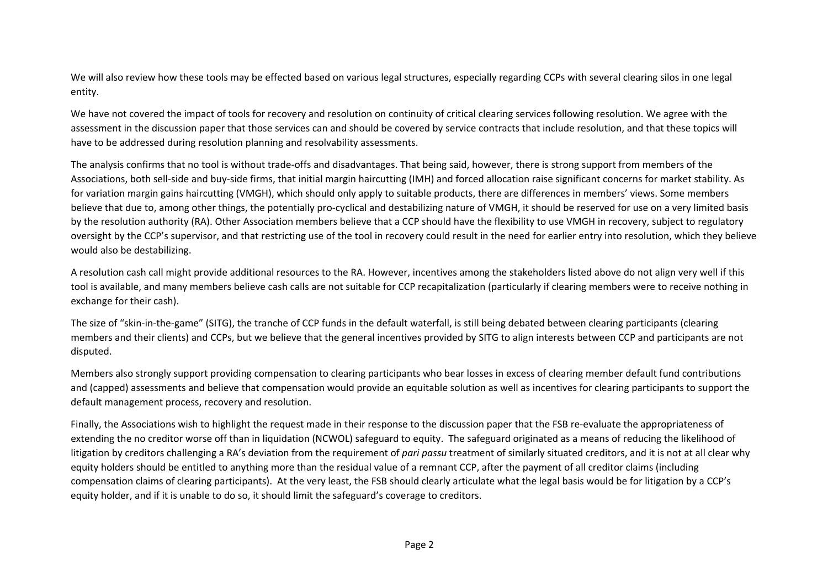We will also review how these tools may be effected based on various legal structures, especially regarding CCPs with several clearing silos in one legal entity.

We have not covered the impact of tools for recovery and resolution on continuity of critical clearing services following resolution. We agree with the assessment in the discussion paper that those services can and should be covered by service contracts that include resolution, and that these topics will have to be addressed during resolution planning and resolvability assessments.

The analysis confirms that no tool is without trade‐offs and disadvantages. That being said, however, there is strong support from members of the Associations, both sell‐side and buy‐side firms, that initial margin haircutting (IMH) and forced allocation raise significant concerns for market stability. As for variation margin gains haircutting (VMGH), which should only apply to suitable products, there are differences in members' views. Some members believe that due to, among other things, the potentially pro-cyclical and destabilizing nature of VMGH, it should be reserved for use on a very limited basis by the resolution authority (RA). Other Association members believe that a CCP should have the flexibility to use VMGH in recovery, subject to regulatory oversight by the CCP's supervisor, and that restricting use of the tool in recovery could result in the need for earlier entry into resolution, which they believe would also be destabilizing.

A resolution cash call might provide additional resources to the RA. However, incentives among the stakeholders listed above do not align very well if this tool is available, and many members believe cash calls are not suitable for CCP recapitalization (particularly if clearing members were to receive nothing in exchange for their cash).

The size of "skin-in-the-game" (SITG), the tranche of CCP funds in the default waterfall, is still being debated between clearing participants (clearing members and their clients) and CCPs, but we believe that the general incentives provided by SITG to align interests between CCP and participants are not disputed.

Members also strongly support providing compensation to clearing participants who bear losses in excess of clearing member default fund contributions and (capped) assessments and believe that compensation would provide an equitable solution as well as incentives for clearing participants to support the default management process, recovery and resolution.

Finally, the Associations wish to highlight the request made in their response to the discussion paper that the FSB re-evaluate the appropriateness of extending the no creditor worse off than in liquidation (NCWOL) safeguard to equity. The safeguard originated as a means of reducing the likelihood of litigation by creditors challenging a RA's deviation from the requirement of *pari passu* treatment of similarly situated creditors, and it is not at all clear why equity holders should be entitled to anything more than the residual value of a remnant CCP, after the payment of all creditor claims (including compensation claims of clearing participants). At the very least, the FSB should clearly articulate what the legal basis would be for litigation by a CCP's equity holder, and if it is unable to do so, it should limit the safeguard's coverage to creditors.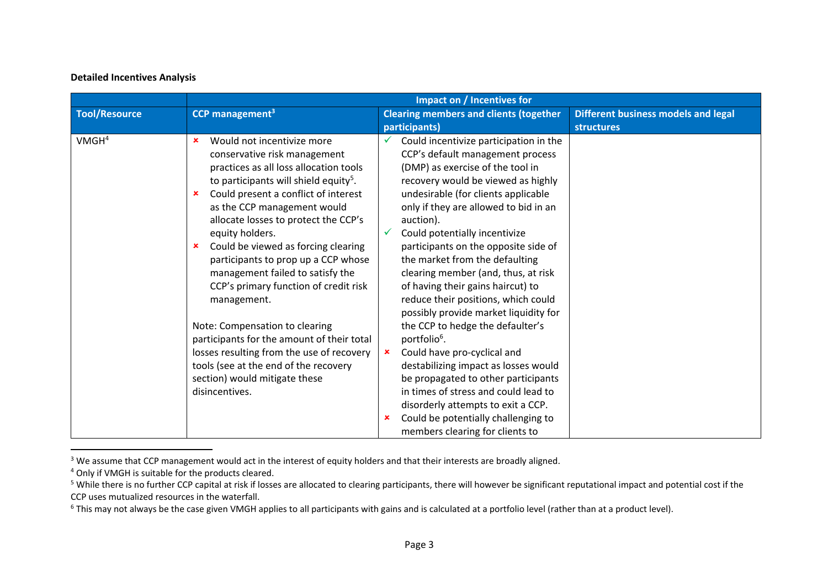# **Detailed Incentives Analysis**

|                   |                                                   | Impact on / Incentives for                    |                                            |  |
|-------------------|---------------------------------------------------|-----------------------------------------------|--------------------------------------------|--|
| Tool/Resource     | CCP management <sup>3</sup>                       | <b>Clearing members and clients (together</b> | <b>Different business models and legal</b> |  |
|                   |                                                   | participants)                                 | <b>structures</b>                          |  |
| VMGH <sup>4</sup> | Would not incentivize more<br>×                   | Could incentivize participation in the        |                                            |  |
|                   | conservative risk management                      | CCP's default management process              |                                            |  |
|                   | practices as all loss allocation tools            | (DMP) as exercise of the tool in              |                                            |  |
|                   | to participants will shield equity <sup>5</sup> . | recovery would be viewed as highly            |                                            |  |
|                   | Could present a conflict of interest<br>×         | undesirable (for clients applicable           |                                            |  |
|                   | as the CCP management would                       | only if they are allowed to bid in an         |                                            |  |
|                   | allocate losses to protect the CCP's              | auction).                                     |                                            |  |
|                   | equity holders.                                   | Could potentially incentivize                 |                                            |  |
|                   | Could be viewed as forcing clearing<br>×          | participants on the opposite side of          |                                            |  |
|                   | participants to prop up a CCP whose               | the market from the defaulting                |                                            |  |
|                   | management failed to satisfy the                  | clearing member (and, thus, at risk           |                                            |  |
|                   | CCP's primary function of credit risk             | of having their gains haircut) to             |                                            |  |
|                   | management.                                       | reduce their positions, which could           |                                            |  |
|                   |                                                   | possibly provide market liquidity for         |                                            |  |
|                   | Note: Compensation to clearing                    | the CCP to hedge the defaulter's              |                                            |  |
|                   | participants for the amount of their total        | portfolio <sup>6</sup> .                      |                                            |  |
|                   | losses resulting from the use of recovery         | Could have pro-cyclical and<br>$\mathbf x$    |                                            |  |
|                   | tools (see at the end of the recovery             | destabilizing impact as losses would          |                                            |  |
|                   | section) would mitigate these                     | be propagated to other participants           |                                            |  |
|                   | disincentives.                                    | in times of stress and could lead to          |                                            |  |
|                   |                                                   | disorderly attempts to exit a CCP.            |                                            |  |
|                   |                                                   | Could be potentially challenging to<br>×      |                                            |  |
|                   |                                                   | members clearing for clients to               |                                            |  |

<sup>&</sup>lt;sup>3</sup> We assume that CCP management would act in the interest of equity holders and that their interests are broadly aligned.

<sup>4</sup> Only if VMGH is suitable for the products cleared.

<sup>&</sup>lt;sup>5</sup> While there is no further CCP capital at risk if losses are allocated to clearing participants, there will however be significant reputational impact and potential cost if the CCP uses mutualized resources in the waterfall.

 $6$  This may not always be the case given VMGH applies to all participants with gains and is calculated at a portfolio level (rather than at a product level).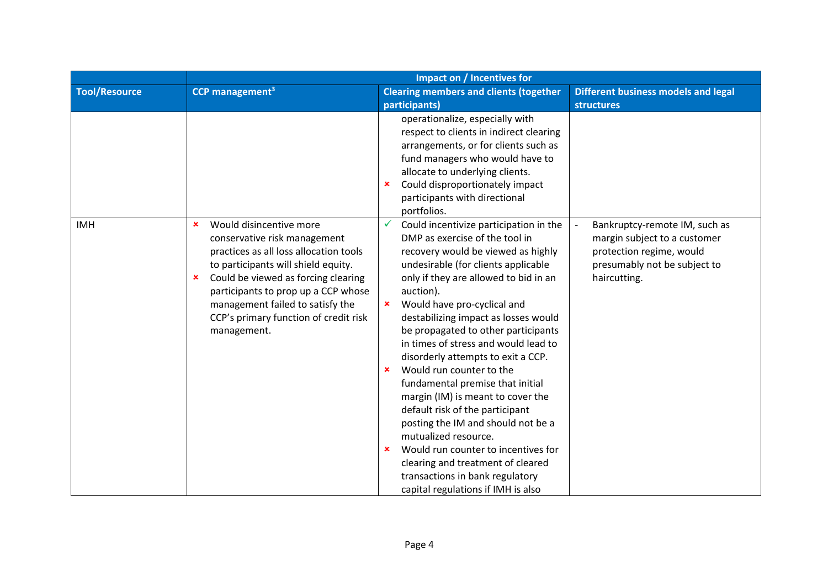|                      | Impact on / Incentives for                                                                                                                                                                                                                                                                                                                                                   |                                                                                                                                                                                                                                                                                                                                                                                                                                                                                                                                                                                                                                                                                                                                                                                                     |                                                                                                                                           |
|----------------------|------------------------------------------------------------------------------------------------------------------------------------------------------------------------------------------------------------------------------------------------------------------------------------------------------------------------------------------------------------------------------|-----------------------------------------------------------------------------------------------------------------------------------------------------------------------------------------------------------------------------------------------------------------------------------------------------------------------------------------------------------------------------------------------------------------------------------------------------------------------------------------------------------------------------------------------------------------------------------------------------------------------------------------------------------------------------------------------------------------------------------------------------------------------------------------------------|-------------------------------------------------------------------------------------------------------------------------------------------|
| <b>Tool/Resource</b> | <b>CCP</b> management <sup>3</sup>                                                                                                                                                                                                                                                                                                                                           | <b>Clearing members and clients (together</b>                                                                                                                                                                                                                                                                                                                                                                                                                                                                                                                                                                                                                                                                                                                                                       | <b>Different business models and legal</b>                                                                                                |
|                      |                                                                                                                                                                                                                                                                                                                                                                              | participants)                                                                                                                                                                                                                                                                                                                                                                                                                                                                                                                                                                                                                                                                                                                                                                                       | <b>structures</b>                                                                                                                         |
|                      |                                                                                                                                                                                                                                                                                                                                                                              | operationalize, especially with<br>respect to clients in indirect clearing<br>arrangements, or for clients such as<br>fund managers who would have to<br>allocate to underlying clients.<br>Could disproportionately impact<br>×<br>participants with directional<br>portfolios.                                                                                                                                                                                                                                                                                                                                                                                                                                                                                                                    |                                                                                                                                           |
| <b>IMH</b>           | Would disincentive more<br>$\boldsymbol{\mathsf{x}}$<br>conservative risk management<br>practices as all loss allocation tools<br>to participants will shield equity.<br>Could be viewed as forcing clearing<br>$\boldsymbol{\mathsf{x}}$<br>participants to prop up a CCP whose<br>management failed to satisfy the<br>CCP's primary function of credit risk<br>management. | Could incentivize participation in the<br>✓<br>DMP as exercise of the tool in<br>recovery would be viewed as highly<br>undesirable (for clients applicable<br>only if they are allowed to bid in an<br>auction).<br>Would have pro-cyclical and<br>×<br>destabilizing impact as losses would<br>be propagated to other participants<br>in times of stress and would lead to<br>disorderly attempts to exit a CCP.<br>Would run counter to the<br>×<br>fundamental premise that initial<br>margin (IM) is meant to cover the<br>default risk of the participant<br>posting the IM and should not be a<br>mutualized resource.<br>Would run counter to incentives for<br>$\pmb{\times}$<br>clearing and treatment of cleared<br>transactions in bank regulatory<br>capital regulations if IMH is also | Bankruptcy-remote IM, such as<br>margin subject to a customer<br>protection regime, would<br>presumably not be subject to<br>haircutting. |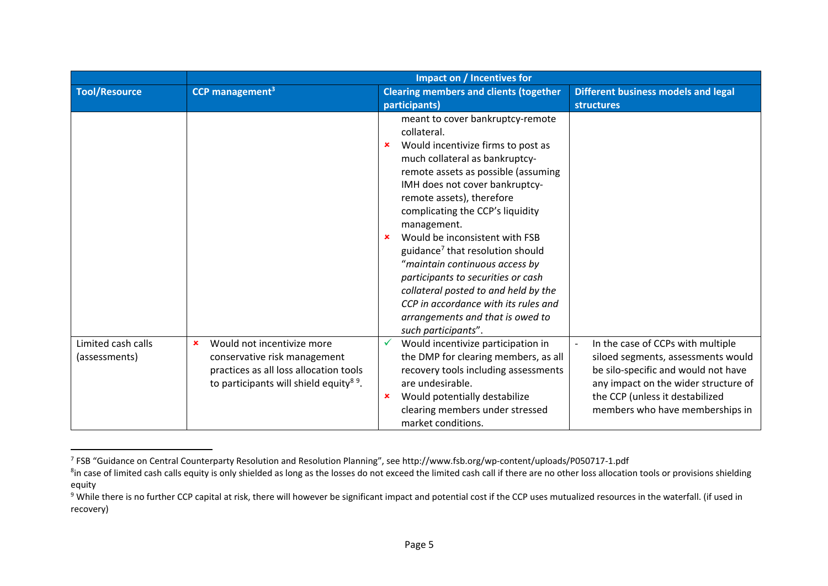|                                     | Impact on / Incentives for                                                                                                                                                              |                                                                                                                                                                                                                                                                                                                                                                                                                                                                                                                                                                                                      |                                                                                                                                                                                                                              |
|-------------------------------------|-----------------------------------------------------------------------------------------------------------------------------------------------------------------------------------------|------------------------------------------------------------------------------------------------------------------------------------------------------------------------------------------------------------------------------------------------------------------------------------------------------------------------------------------------------------------------------------------------------------------------------------------------------------------------------------------------------------------------------------------------------------------------------------------------------|------------------------------------------------------------------------------------------------------------------------------------------------------------------------------------------------------------------------------|
| <b>Tool/Resource</b>                | CCP management <sup>3</sup>                                                                                                                                                             | <b>Clearing members and clients (together</b>                                                                                                                                                                                                                                                                                                                                                                                                                                                                                                                                                        | <b>Different business models and legal</b>                                                                                                                                                                                   |
|                                     |                                                                                                                                                                                         | participants)                                                                                                                                                                                                                                                                                                                                                                                                                                                                                                                                                                                        | <b>structures</b>                                                                                                                                                                                                            |
|                                     |                                                                                                                                                                                         | meant to cover bankruptcy-remote<br>collateral.<br>Would incentivize firms to post as<br>$\mathbf x$<br>much collateral as bankruptcy-<br>remote assets as possible (assuming<br>IMH does not cover bankruptcy-<br>remote assets), therefore<br>complicating the CCP's liquidity<br>management.<br>Would be inconsistent with FSB<br>guidance <sup>7</sup> that resolution should<br>"maintain continuous access by<br>participants to securities or cash<br>collateral posted to and held by the<br>CCP in accordance with its rules and<br>arrangements and that is owed to<br>such participants". |                                                                                                                                                                                                                              |
| Limited cash calls<br>(assessments) | Would not incentivize more<br>$\boldsymbol{\mathsf{x}}$<br>conservative risk management<br>practices as all loss allocation tools<br>to participants will shield equity <sup>89</sup> . | Would incentivize participation in<br>$\checkmark$<br>the DMP for clearing members, as all<br>recovery tools including assessments<br>are undesirable.<br>Would potentially destabilize<br>×<br>clearing members under stressed<br>market conditions.                                                                                                                                                                                                                                                                                                                                                | In the case of CCPs with multiple<br>siloed segments, assessments would<br>be silo-specific and would not have<br>any impact on the wider structure of<br>the CCP (unless it destabilized<br>members who have memberships in |

<sup>7</sup> FSB "Guidance on Central Counterparty Resolution and Resolution Planning", see http://www.fsb.org/wp‐content/uploads/P050717‐1.pdf

<sup>&</sup>lt;sup>8</sup>in case of limited cash calls equity is only shielded as long as the losses do not exceed the limited cash call if there are no other loss allocation tools or provisions shielding equity

<sup>&</sup>lt;sup>9</sup> While there is no further CCP capital at risk, there will however be significant impact and potential cost if the CCP uses mutualized resources in the waterfall. (if used in recovery)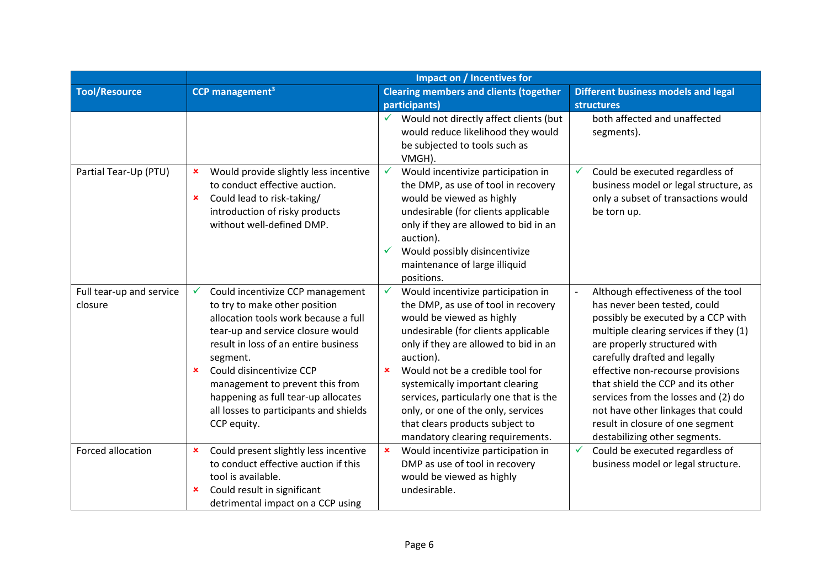|                                     | <b>Impact on / Incentives for</b>                                                                                                                                                                                                                                                                                                                                                        |                                                                                                                                                                                                                                                                                                                                                                                                                                                                  |                                                                                                                                                                                                                                                                                                                                                                                                                                                 |
|-------------------------------------|------------------------------------------------------------------------------------------------------------------------------------------------------------------------------------------------------------------------------------------------------------------------------------------------------------------------------------------------------------------------------------------|------------------------------------------------------------------------------------------------------------------------------------------------------------------------------------------------------------------------------------------------------------------------------------------------------------------------------------------------------------------------------------------------------------------------------------------------------------------|-------------------------------------------------------------------------------------------------------------------------------------------------------------------------------------------------------------------------------------------------------------------------------------------------------------------------------------------------------------------------------------------------------------------------------------------------|
| <b>Tool/Resource</b>                | CCP management <sup>3</sup>                                                                                                                                                                                                                                                                                                                                                              | <b>Clearing members and clients (together</b>                                                                                                                                                                                                                                                                                                                                                                                                                    | <b>Different business models and legal</b>                                                                                                                                                                                                                                                                                                                                                                                                      |
|                                     |                                                                                                                                                                                                                                                                                                                                                                                          | participants)<br>Would not directly affect clients (but<br>✓<br>would reduce likelihood they would<br>be subjected to tools such as<br>VMGH).                                                                                                                                                                                                                                                                                                                    | <b>structures</b><br>both affected and unaffected<br>segments).                                                                                                                                                                                                                                                                                                                                                                                 |
| Partial Tear-Up (PTU)               | Would provide slightly less incentive<br>×<br>to conduct effective auction.<br>Could lead to risk-taking/<br>$\pmb{\times}$<br>introduction of risky products<br>without well-defined DMP.                                                                                                                                                                                               | $\checkmark$<br>Would incentivize participation in<br>the DMP, as use of tool in recovery<br>would be viewed as highly<br>undesirable (for clients applicable<br>only if they are allowed to bid in an<br>auction).<br>Would possibly disincentivize<br>$\checkmark$<br>maintenance of large illiquid<br>positions.                                                                                                                                              | Could be executed regardless of<br>business model or legal structure, as<br>only a subset of transactions would<br>be torn up.                                                                                                                                                                                                                                                                                                                  |
| Full tear-up and service<br>closure | Could incentivize CCP management<br>✓<br>to try to make other position<br>allocation tools work because a full<br>tear-up and service closure would<br>result in loss of an entire business<br>segment.<br>Could disincentivize CCP<br>$\pmb{\times}$<br>management to prevent this from<br>happening as full tear-up allocates<br>all losses to participants and shields<br>CCP equity. | Would incentivize participation in<br>$\checkmark$<br>the DMP, as use of tool in recovery<br>would be viewed as highly<br>undesirable (for clients applicable<br>only if they are allowed to bid in an<br>auction).<br>Would not be a credible tool for<br>$\mathbf x$<br>systemically important clearing<br>services, particularly one that is the<br>only, or one of the only, services<br>that clears products subject to<br>mandatory clearing requirements. | Although effectiveness of the tool<br>has never been tested, could<br>possibly be executed by a CCP with<br>multiple clearing services if they (1)<br>are properly structured with<br>carefully drafted and legally<br>effective non-recourse provisions<br>that shield the CCP and its other<br>services from the losses and (2) do<br>not have other linkages that could<br>result in closure of one segment<br>destabilizing other segments. |
| Forced allocation                   | Could present slightly less incentive<br>×<br>to conduct effective auction if this<br>tool is available.<br>Could result in significant<br>×<br>detrimental impact on a CCP using                                                                                                                                                                                                        | Would incentivize participation in<br>$\pmb{\times}$<br>DMP as use of tool in recovery<br>would be viewed as highly<br>undesirable.                                                                                                                                                                                                                                                                                                                              | Could be executed regardless of<br>$\checkmark$<br>business model or legal structure.                                                                                                                                                                                                                                                                                                                                                           |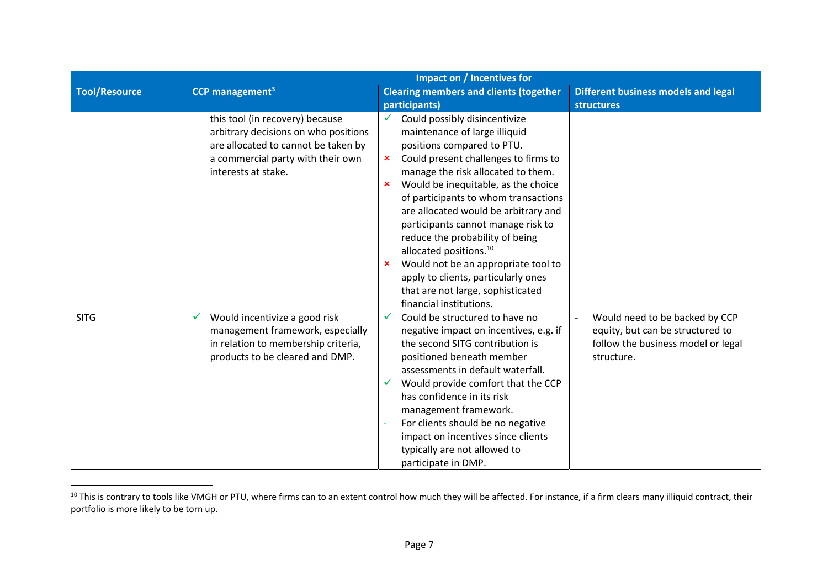|                      | Impact on / Incentives for                                                                                                                                                 |                                                                                                                                                                                                                                                                                                                                                                                                                                                                                                                                                                                                         |                                                                                                                        |
|----------------------|----------------------------------------------------------------------------------------------------------------------------------------------------------------------------|---------------------------------------------------------------------------------------------------------------------------------------------------------------------------------------------------------------------------------------------------------------------------------------------------------------------------------------------------------------------------------------------------------------------------------------------------------------------------------------------------------------------------------------------------------------------------------------------------------|------------------------------------------------------------------------------------------------------------------------|
| <b>Tool/Resource</b> | CCP management <sup>3</sup>                                                                                                                                                | <b>Clearing members and clients (together</b>                                                                                                                                                                                                                                                                                                                                                                                                                                                                                                                                                           | <b>Different business models and legal</b>                                                                             |
|                      |                                                                                                                                                                            | participants)                                                                                                                                                                                                                                                                                                                                                                                                                                                                                                                                                                                           | <b>structures</b>                                                                                                      |
|                      | this tool (in recovery) because<br>arbitrary decisions on who positions<br>are allocated to cannot be taken by<br>a commercial party with their own<br>interests at stake. | Could possibly disincentivize<br>$\checkmark$<br>maintenance of large illiquid<br>positions compared to PTU.<br>Could present challenges to firms to<br>$\mathbf x$<br>manage the risk allocated to them.<br>Would be inequitable, as the choice<br>×<br>of participants to whom transactions<br>are allocated would be arbitrary and<br>participants cannot manage risk to<br>reduce the probability of being<br>allocated positions. <sup>10</sup><br>Would not be an appropriate tool to<br>×<br>apply to clients, particularly ones<br>that are not large, sophisticated<br>financial institutions. |                                                                                                                        |
| <b>SITG</b>          | Would incentivize a good risk<br>V<br>management framework, especially<br>in relation to membership criteria,<br>products to be cleared and DMP.                           | Could be structured to have no<br>✓<br>negative impact on incentives, e.g. if<br>the second SITG contribution is<br>positioned beneath member<br>assessments in default waterfall.<br>Would provide comfort that the CCP<br>✓<br>has confidence in its risk<br>management framework.<br>For clients should be no negative<br>impact on incentives since clients<br>typically are not allowed to<br>participate in DMP.                                                                                                                                                                                  | Would need to be backed by CCP<br>equity, but can be structured to<br>follow the business model or legal<br>structure. |

<sup>&</sup>lt;sup>10</sup> This is contrary to tools like VMGH or PTU, where firms can to an extent control how much they will be affected. For instance, if a firm clears many illiquid contract, their portfolio is more likely to be torn up.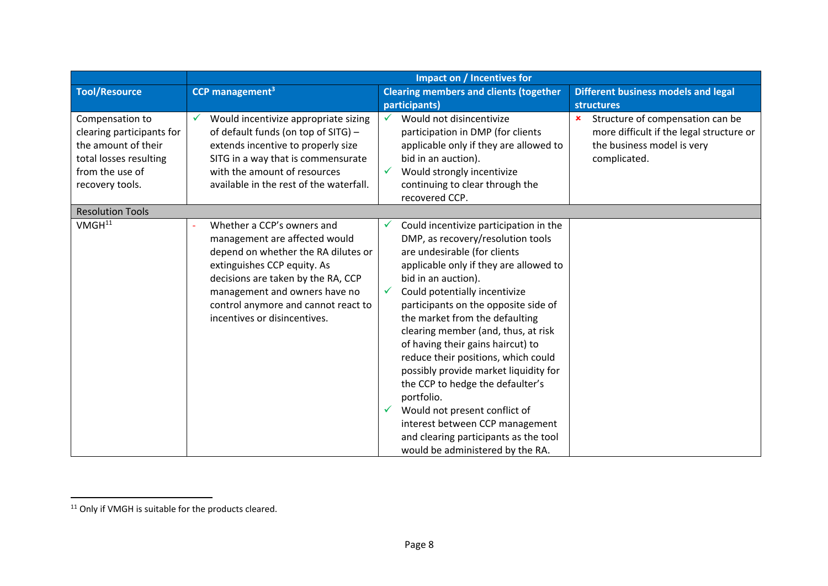|                                                                                                                                     | Impact on / Incentives for                                                                                                                                                                                                                                                      |                                                                                                                                                                                                                                                                                                                                                                                                                                                                                                                                                                                                                                                                       |                                                                                                                                           |
|-------------------------------------------------------------------------------------------------------------------------------------|---------------------------------------------------------------------------------------------------------------------------------------------------------------------------------------------------------------------------------------------------------------------------------|-----------------------------------------------------------------------------------------------------------------------------------------------------------------------------------------------------------------------------------------------------------------------------------------------------------------------------------------------------------------------------------------------------------------------------------------------------------------------------------------------------------------------------------------------------------------------------------------------------------------------------------------------------------------------|-------------------------------------------------------------------------------------------------------------------------------------------|
| <b>Tool/Resource</b>                                                                                                                | <b>CCP</b> management <sup>3</sup>                                                                                                                                                                                                                                              | <b>Clearing members and clients (together</b>                                                                                                                                                                                                                                                                                                                                                                                                                                                                                                                                                                                                                         | <b>Different business models and legal</b>                                                                                                |
|                                                                                                                                     |                                                                                                                                                                                                                                                                                 | participants)                                                                                                                                                                                                                                                                                                                                                                                                                                                                                                                                                                                                                                                         | structures                                                                                                                                |
| Compensation to<br>clearing participants for<br>the amount of their<br>total losses resulting<br>from the use of<br>recovery tools. | Would incentivize appropriate sizing<br>of default funds (on top of SITG) -<br>extends incentive to properly size<br>SITG in a way that is commensurate<br>with the amount of resources<br>available in the rest of the waterfall.                                              | Would not disincentivize<br>$\checkmark$<br>participation in DMP (for clients<br>applicable only if they are allowed to<br>bid in an auction).<br>Would strongly incentivize<br>✓<br>continuing to clear through the<br>recovered CCP.                                                                                                                                                                                                                                                                                                                                                                                                                                | Structure of compensation can be<br>$\mathbf x$<br>more difficult if the legal structure or<br>the business model is very<br>complicated. |
| <b>Resolution Tools</b>                                                                                                             |                                                                                                                                                                                                                                                                                 |                                                                                                                                                                                                                                                                                                                                                                                                                                                                                                                                                                                                                                                                       |                                                                                                                                           |
| VMGH <sup>11</sup>                                                                                                                  | Whether a CCP's owners and<br>management are affected would<br>depend on whether the RA dilutes or<br>extinguishes CCP equity. As<br>decisions are taken by the RA, CCP<br>management and owners have no<br>control anymore and cannot react to<br>incentives or disincentives. | Could incentivize participation in the<br>v<br>DMP, as recovery/resolution tools<br>are undesirable (for clients<br>applicable only if they are allowed to<br>bid in an auction).<br>Could potentially incentivize<br>✓<br>participants on the opposite side of<br>the market from the defaulting<br>clearing member (and, thus, at risk<br>of having their gains haircut) to<br>reduce their positions, which could<br>possibly provide market liquidity for<br>the CCP to hedge the defaulter's<br>portfolio.<br>Would not present conflict of<br>✓<br>interest between CCP management<br>and clearing participants as the tool<br>would be administered by the RA. |                                                                                                                                           |

<sup>&</sup>lt;sup>11</sup> Only if VMGH is suitable for the products cleared.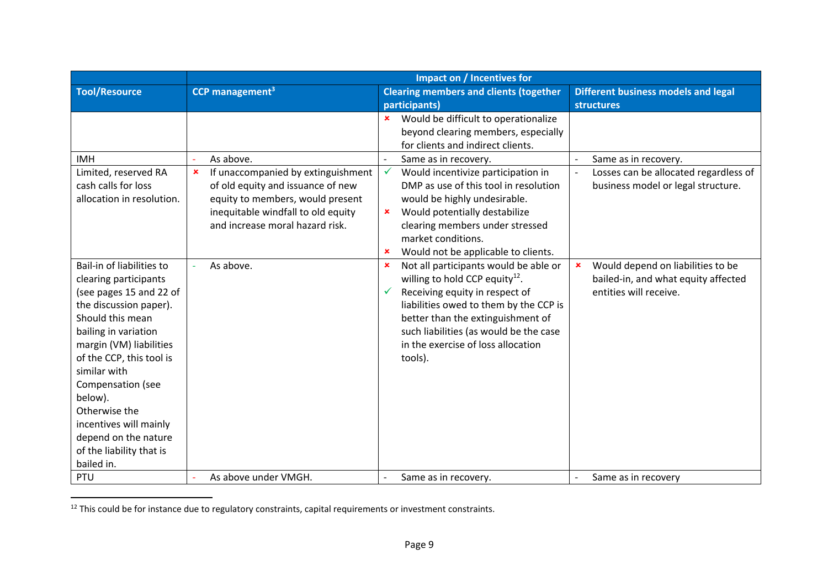|                           | Impact on / Incentives for         |                                                         |                                            |
|---------------------------|------------------------------------|---------------------------------------------------------|--------------------------------------------|
| <b>Tool/Resource</b>      | CCP management <sup>3</sup>        | <b>Clearing members and clients (together</b>           | <b>Different business models and legal</b> |
|                           |                                    | participants)                                           | <b>structures</b>                          |
|                           |                                    | Would be difficult to operationalize<br>$\mathbf x$     |                                            |
|                           |                                    | beyond clearing members, especially                     |                                            |
|                           |                                    | for clients and indirect clients.                       |                                            |
| <b>IMH</b>                | As above.                          | Same as in recovery.<br>$\overline{\phantom{a}}$        | Same as in recovery.                       |
| Limited, reserved RA      | If unaccompanied by extinguishment | Would incentivize participation in<br>$\checkmark$      | Losses can be allocated regardless of      |
| cash calls for loss       | of old equity and issuance of new  | DMP as use of this tool in resolution                   | business model or legal structure.         |
| allocation in resolution. | equity to members, would present   | would be highly undesirable.                            |                                            |
|                           | inequitable windfall to old equity | Would potentially destabilize<br>$\mathbf x$            |                                            |
|                           | and increase moral hazard risk.    | clearing members under stressed                         |                                            |
|                           |                                    | market conditions.                                      |                                            |
|                           |                                    | Would not be applicable to clients.                     |                                            |
| Bail-in of liabilities to | As above.                          | Not all participants would be able or<br>$\pmb{\times}$ | Would depend on liabilities to be          |
| clearing participants     |                                    | willing to hold CCP equity <sup>12</sup> .              | bailed-in, and what equity affected        |
| (see pages 15 and 22 of   |                                    | Receiving equity in respect of<br>$\checkmark$          | entities will receive.                     |
| the discussion paper).    |                                    | liabilities owed to them by the CCP is                  |                                            |
| Should this mean          |                                    | better than the extinguishment of                       |                                            |
| bailing in variation      |                                    | such liabilities (as would be the case                  |                                            |
| margin (VM) liabilities   |                                    | in the exercise of loss allocation                      |                                            |
| of the CCP, this tool is  |                                    | tools).                                                 |                                            |
| similar with              |                                    |                                                         |                                            |
| Compensation (see         |                                    |                                                         |                                            |
| below).                   |                                    |                                                         |                                            |
| Otherwise the             |                                    |                                                         |                                            |
| incentives will mainly    |                                    |                                                         |                                            |
| depend on the nature      |                                    |                                                         |                                            |
| of the liability that is  |                                    |                                                         |                                            |
| bailed in.                |                                    |                                                         |                                            |
| PTU                       | As above under VMGH.               | Same as in recovery.                                    | Same as in recovery                        |

<sup>&</sup>lt;sup>12</sup> This could be for instance due to regulatory constraints, capital requirements or investment constraints.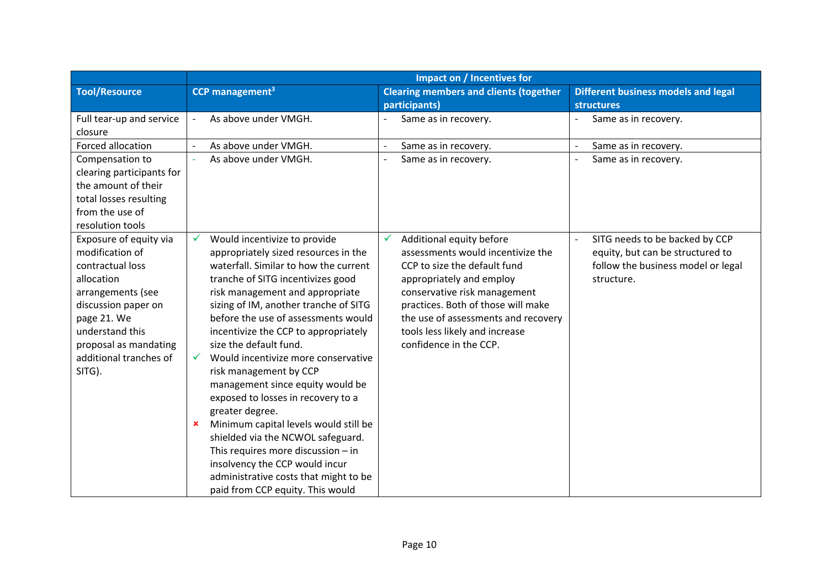|                           | Impact on / Incentives for                          |                                                  |                                            |
|---------------------------|-----------------------------------------------------|--------------------------------------------------|--------------------------------------------|
| <b>Tool/Resource</b>      | CCP management <sup>3</sup>                         | <b>Clearing members and clients (together</b>    | <b>Different business models and legal</b> |
|                           |                                                     | participants)                                    | <b>structures</b>                          |
| Full tear-up and service  | As above under VMGH.<br>$\overline{\phantom{a}}$    | Same as in recovery.                             | Same as in recovery.                       |
| closure                   |                                                     |                                                  |                                            |
| Forced allocation         | As above under VMGH.                                | Same as in recovery.<br>$\overline{\phantom{a}}$ | Same as in recovery.                       |
| Compensation to           | As above under VMGH.                                | Same as in recovery.                             | Same as in recovery.                       |
| clearing participants for |                                                     |                                                  |                                            |
| the amount of their       |                                                     |                                                  |                                            |
| total losses resulting    |                                                     |                                                  |                                            |
| from the use of           |                                                     |                                                  |                                            |
| resolution tools          |                                                     |                                                  |                                            |
| Exposure of equity via    | Would incentivize to provide                        | Additional equity before<br>$\checkmark$         | SITG needs to be backed by CCP             |
| modification of           | appropriately sized resources in the                | assessments would incentivize the                | equity, but can be structured to           |
| contractual loss          | waterfall. Similar to how the current               | CCP to size the default fund                     | follow the business model or legal         |
| allocation                | tranche of SITG incentivizes good                   | appropriately and employ                         | structure.                                 |
| arrangements (see         | risk management and appropriate                     | conservative risk management                     |                                            |
| discussion paper on       | sizing of IM, another tranche of SITG               | practices. Both of those will make               |                                            |
| page 21. We               | before the use of assessments would                 | the use of assessments and recovery              |                                            |
| understand this           | incentivize the CCP to appropriately                | tools less likely and increase                   |                                            |
| proposal as mandating     | size the default fund.                              | confidence in the CCP.                           |                                            |
| additional tranches of    | Would incentivize more conservative<br>$\checkmark$ |                                                  |                                            |
| SITG).                    | risk management by CCP                              |                                                  |                                            |
|                           | management since equity would be                    |                                                  |                                            |
|                           | exposed to losses in recovery to a                  |                                                  |                                            |
|                           | greater degree.                                     |                                                  |                                            |
|                           | Minimum capital levels would still be               |                                                  |                                            |
|                           | shielded via the NCWOL safeguard.                   |                                                  |                                            |
|                           | This requires more discussion $-$ in                |                                                  |                                            |
|                           | insolvency the CCP would incur                      |                                                  |                                            |
|                           | administrative costs that might to be               |                                                  |                                            |
|                           | paid from CCP equity. This would                    |                                                  |                                            |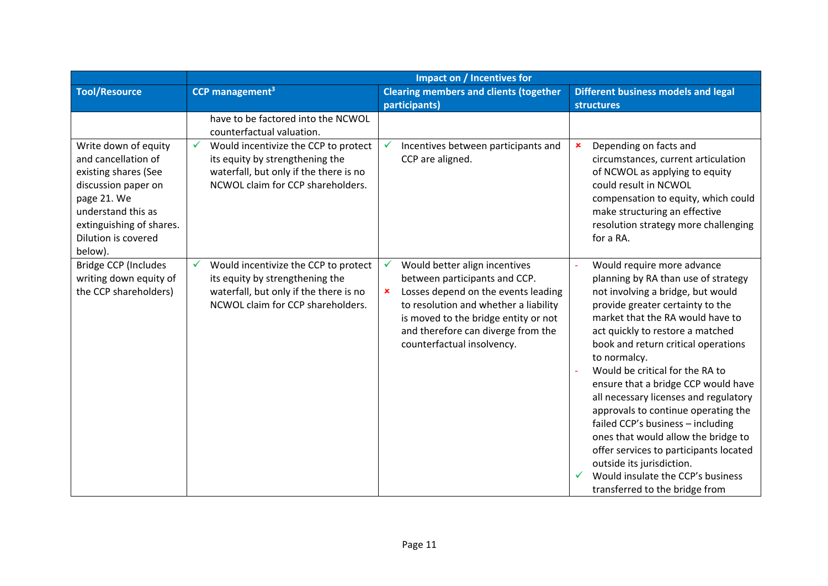|                                                                                                                                                                                               | Impact on / Incentives for                                                                                                                                  |                                                                                                                                                                                                                                                                      |                                                                                                                                                                                                                                                                                                                                                                                                                                                                                                                                                                                                                                                               |
|-----------------------------------------------------------------------------------------------------------------------------------------------------------------------------------------------|-------------------------------------------------------------------------------------------------------------------------------------------------------------|----------------------------------------------------------------------------------------------------------------------------------------------------------------------------------------------------------------------------------------------------------------------|---------------------------------------------------------------------------------------------------------------------------------------------------------------------------------------------------------------------------------------------------------------------------------------------------------------------------------------------------------------------------------------------------------------------------------------------------------------------------------------------------------------------------------------------------------------------------------------------------------------------------------------------------------------|
| <b>Tool/Resource</b>                                                                                                                                                                          | CCP management <sup>3</sup>                                                                                                                                 | <b>Clearing members and clients (together</b>                                                                                                                                                                                                                        | <b>Different business models and legal</b>                                                                                                                                                                                                                                                                                                                                                                                                                                                                                                                                                                                                                    |
|                                                                                                                                                                                               |                                                                                                                                                             | participants)                                                                                                                                                                                                                                                        | <b>structures</b>                                                                                                                                                                                                                                                                                                                                                                                                                                                                                                                                                                                                                                             |
|                                                                                                                                                                                               | have to be factored into the NCWOL<br>counterfactual valuation.                                                                                             |                                                                                                                                                                                                                                                                      |                                                                                                                                                                                                                                                                                                                                                                                                                                                                                                                                                                                                                                                               |
| Write down of equity<br>and cancellation of<br>existing shares (See<br>discussion paper on<br>page 21. We<br>understand this as<br>extinguishing of shares.<br>Dilution is covered<br>below). | Would incentivize the CCP to protect<br>its equity by strengthening the<br>waterfall, but only if the there is no<br>NCWOL claim for CCP shareholders.      | $\checkmark$<br>Incentives between participants and<br>CCP are aligned.                                                                                                                                                                                              | Depending on facts and<br>×<br>circumstances, current articulation<br>of NCWOL as applying to equity<br>could result in NCWOL<br>compensation to equity, which could<br>make structuring an effective<br>resolution strategy more challenging<br>for a RA.                                                                                                                                                                                                                                                                                                                                                                                                    |
| Bridge CCP (Includes<br>writing down equity of<br>the CCP shareholders)                                                                                                                       | Would incentivize the CCP to protect<br>v<br>its equity by strengthening the<br>waterfall, but only if the there is no<br>NCWOL claim for CCP shareholders. | Would better align incentives<br>✓<br>between participants and CCP.<br>Losses depend on the events leading<br>×<br>to resolution and whether a liability<br>is moved to the bridge entity or not<br>and therefore can diverge from the<br>counterfactual insolvency. | Would require more advance<br>planning by RA than use of strategy<br>not involving a bridge, but would<br>provide greater certainty to the<br>market that the RA would have to<br>act quickly to restore a matched<br>book and return critical operations<br>to normalcy.<br>Would be critical for the RA to<br>ensure that a bridge CCP would have<br>all necessary licenses and regulatory<br>approvals to continue operating the<br>failed CCP's business - including<br>ones that would allow the bridge to<br>offer services to participants located<br>outside its jurisdiction.<br>Would insulate the CCP's business<br>transferred to the bridge from |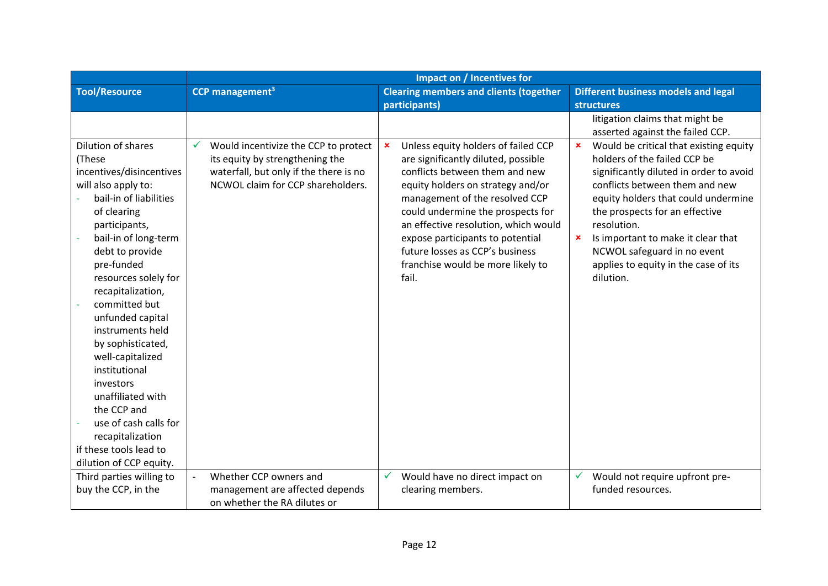|                                    | Impact on / Incentives for                |                                                                     |                                                      |
|------------------------------------|-------------------------------------------|---------------------------------------------------------------------|------------------------------------------------------|
| <b>Tool/Resource</b>               | CCP management <sup>3</sup>               | <b>Clearing members and clients (together</b>                       | <b>Different business models and legal</b>           |
|                                    |                                           | participants)                                                       | <b>structures</b>                                    |
|                                    |                                           |                                                                     | litigation claims that might be                      |
|                                    |                                           |                                                                     | asserted against the failed CCP.                     |
| Dilution of shares                 | Would incentivize the CCP to protect<br>✓ | Unless equity holders of failed CCP<br>×                            | Would be critical that existing equity<br>×          |
| (These                             | its equity by strengthening the           | are significantly diluted, possible                                 | holders of the failed CCP be                         |
| incentives/disincentives           | waterfall, but only if the there is no    | conflicts between them and new                                      | significantly diluted in order to avoid              |
| will also apply to:                | NCWOL claim for CCP shareholders.         | equity holders on strategy and/or                                   | conflicts between them and new                       |
| bail-in of liabilities             |                                           | management of the resolved CCP                                      | equity holders that could undermine                  |
| of clearing                        |                                           | could undermine the prospects for                                   | the prospects for an effective                       |
| participants,                      |                                           | an effective resolution, which would                                | resolution.                                          |
| bail-in of long-term               |                                           | expose participants to potential<br>future losses as CCP's business | Is important to make it clear that<br>$\pmb{\times}$ |
| debt to provide                    |                                           |                                                                     | NCWOL safeguard in no event                          |
| pre-funded                         |                                           | franchise would be more likely to<br>fail.                          | applies to equity in the case of its<br>dilution.    |
| resources solely for               |                                           |                                                                     |                                                      |
| recapitalization,<br>committed but |                                           |                                                                     |                                                      |
| unfunded capital                   |                                           |                                                                     |                                                      |
| instruments held                   |                                           |                                                                     |                                                      |
| by sophisticated,                  |                                           |                                                                     |                                                      |
| well-capitalized                   |                                           |                                                                     |                                                      |
| institutional                      |                                           |                                                                     |                                                      |
| investors                          |                                           |                                                                     |                                                      |
| unaffiliated with                  |                                           |                                                                     |                                                      |
| the CCP and                        |                                           |                                                                     |                                                      |
| use of cash calls for              |                                           |                                                                     |                                                      |
| recapitalization                   |                                           |                                                                     |                                                      |
| if these tools lead to             |                                           |                                                                     |                                                      |
| dilution of CCP equity.            |                                           |                                                                     |                                                      |
| Third parties willing to           | Whether CCP owners and                    | Would have no direct impact on<br>✓                                 | ✓<br>Would not require upfront pre-                  |
| buy the CCP, in the                | management are affected depends           | clearing members.                                                   | funded resources.                                    |
|                                    | on whether the RA dilutes or              |                                                                     |                                                      |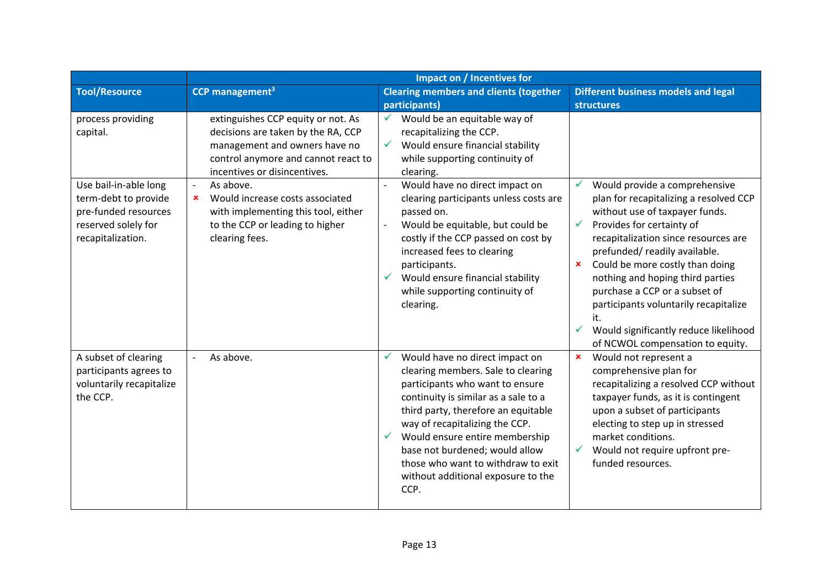|                                                                                          | Impact on / Incentives for                                                                                                                                                                    |                                                                                                                                                                                                                                                                                                                                                                                       |                                                                                                                                                                                                                                                                                                                                                                                                                                           |
|------------------------------------------------------------------------------------------|-----------------------------------------------------------------------------------------------------------------------------------------------------------------------------------------------|---------------------------------------------------------------------------------------------------------------------------------------------------------------------------------------------------------------------------------------------------------------------------------------------------------------------------------------------------------------------------------------|-------------------------------------------------------------------------------------------------------------------------------------------------------------------------------------------------------------------------------------------------------------------------------------------------------------------------------------------------------------------------------------------------------------------------------------------|
| <b>Tool/Resource</b>                                                                     | CCP management <sup>3</sup>                                                                                                                                                                   | <b>Clearing members and clients (together</b><br>participants)                                                                                                                                                                                                                                                                                                                        | <b>Different business models and legal</b><br>structures                                                                                                                                                                                                                                                                                                                                                                                  |
| process providing<br>capital.<br>Use bail-in-able long                                   | extinguishes CCP equity or not. As<br>decisions are taken by the RA, CCP<br>management and owners have no<br>control anymore and cannot react to<br>incentives or disincentives.<br>As above. | Would be an equitable way of<br>recapitalizing the CCP.<br>Would ensure financial stability<br>while supporting continuity of<br>clearing.<br>Would have no direct impact on<br>$\overline{a}$                                                                                                                                                                                        | Would provide a comprehensive<br>$\checkmark$                                                                                                                                                                                                                                                                                                                                                                                             |
| term-debt to provide<br>pre-funded resources<br>reserved solely for<br>recapitalization. | Would increase costs associated<br>×<br>with implementing this tool, either<br>to the CCP or leading to higher<br>clearing fees.                                                              | clearing participants unless costs are<br>passed on.<br>Would be equitable, but could be<br>$\overline{\phantom{0}}$<br>costly if the CCP passed on cost by<br>increased fees to clearing<br>participants.<br>Would ensure financial stability<br>✓<br>while supporting continuity of<br>clearing.                                                                                    | plan for recapitalizing a resolved CCP<br>without use of taxpayer funds.<br>Provides for certainty of<br>✓<br>recapitalization since resources are<br>prefunded/readily available.<br>Could be more costly than doing<br>$\pmb{\times}$<br>nothing and hoping third parties<br>purchase a CCP or a subset of<br>participants voluntarily recapitalize<br>it.<br>Would significantly reduce likelihood<br>of NCWOL compensation to equity. |
| A subset of clearing<br>participants agrees to<br>voluntarily recapitalize<br>the CCP.   | As above.                                                                                                                                                                                     | Would have no direct impact on<br>✓<br>clearing members. Sale to clearing<br>participants who want to ensure<br>continuity is similar as a sale to a<br>third party, therefore an equitable<br>way of recapitalizing the CCP.<br>Would ensure entire membership<br>base not burdened; would allow<br>those who want to withdraw to exit<br>without additional exposure to the<br>CCP. | $\pmb{\times}$<br>Would not represent a<br>comprehensive plan for<br>recapitalizing a resolved CCP without<br>taxpayer funds, as it is contingent<br>upon a subset of participants<br>electing to step up in stressed<br>market conditions.<br>Would not require upfront pre-<br>$\checkmark$<br>funded resources.                                                                                                                        |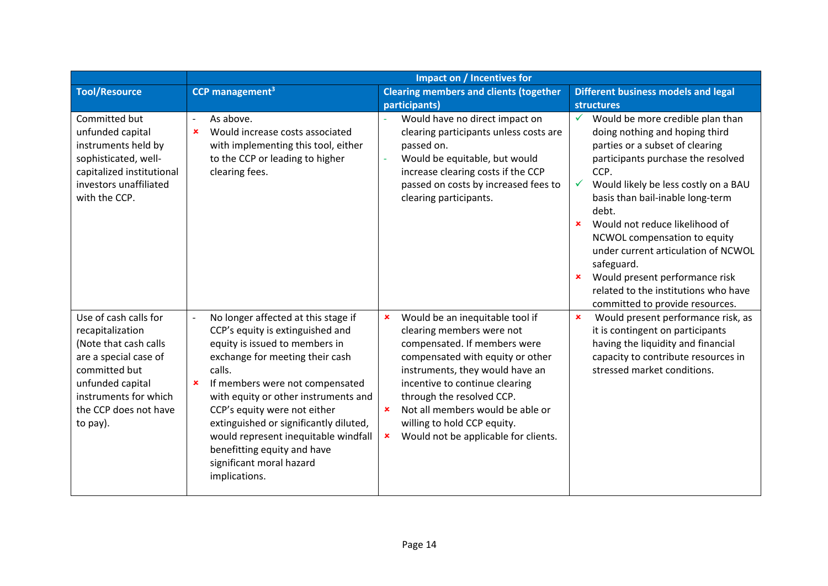|                                                                                                                                                                                                | Impact on / Incentives for                                                                                                                                                                                                                                                                                                                                                                                                           |                                                                                                                                                                                                                                                                                                                                                                                                  |                                                                                                                                                                                                                                                                                                                                                                                                                                                                                                                                            |
|------------------------------------------------------------------------------------------------------------------------------------------------------------------------------------------------|--------------------------------------------------------------------------------------------------------------------------------------------------------------------------------------------------------------------------------------------------------------------------------------------------------------------------------------------------------------------------------------------------------------------------------------|--------------------------------------------------------------------------------------------------------------------------------------------------------------------------------------------------------------------------------------------------------------------------------------------------------------------------------------------------------------------------------------------------|--------------------------------------------------------------------------------------------------------------------------------------------------------------------------------------------------------------------------------------------------------------------------------------------------------------------------------------------------------------------------------------------------------------------------------------------------------------------------------------------------------------------------------------------|
| <b>Tool/Resource</b>                                                                                                                                                                           | CCP management <sup>3</sup>                                                                                                                                                                                                                                                                                                                                                                                                          | <b>Clearing members and clients (together</b>                                                                                                                                                                                                                                                                                                                                                    | <b>Different business models and legal</b>                                                                                                                                                                                                                                                                                                                                                                                                                                                                                                 |
|                                                                                                                                                                                                |                                                                                                                                                                                                                                                                                                                                                                                                                                      | participants)                                                                                                                                                                                                                                                                                                                                                                                    | <b>structures</b>                                                                                                                                                                                                                                                                                                                                                                                                                                                                                                                          |
| Committed but<br>unfunded capital<br>instruments held by<br>sophisticated, well-<br>capitalized institutional<br>investors unaffiliated<br>with the CCP.                                       | As above.<br>$\overline{\phantom{a}}$<br>Would increase costs associated<br>$\boldsymbol{\mathsf{x}}$<br>with implementing this tool, either<br>to the CCP or leading to higher<br>clearing fees.                                                                                                                                                                                                                                    | Would have no direct impact on<br>clearing participants unless costs are<br>passed on.<br>Would be equitable, but would<br>increase clearing costs if the CCP<br>passed on costs by increased fees to<br>clearing participants.                                                                                                                                                                  | $\checkmark$<br>Would be more credible plan than<br>doing nothing and hoping third<br>parties or a subset of clearing<br>participants purchase the resolved<br>CCP.<br>Would likely be less costly on a BAU<br>$\checkmark$<br>basis than bail-inable long-term<br>debt.<br>Would not reduce likelihood of<br>$\mathbf x$<br>NCWOL compensation to equity<br>under current articulation of NCWOL<br>safeguard.<br>Would present performance risk<br>$\mathbf x$<br>related to the institutions who have<br>committed to provide resources. |
| Use of cash calls for<br>recapitalization<br>(Note that cash calls<br>are a special case of<br>committed but<br>unfunded capital<br>instruments for which<br>the CCP does not have<br>to pay). | No longer affected at this stage if<br>CCP's equity is extinguished and<br>equity is issued to members in<br>exchange for meeting their cash<br>calls.<br>If members were not compensated<br>×<br>with equity or other instruments and<br>CCP's equity were not either<br>extinguished or significantly diluted,<br>would represent inequitable windfall<br>benefitting equity and have<br>significant moral hazard<br>implications. | Would be an inequitable tool if<br>$\pmb{\times}$<br>clearing members were not<br>compensated. If members were<br>compensated with equity or other<br>instruments, they would have an<br>incentive to continue clearing<br>through the resolved CCP.<br>Not all members would be able or<br>$\mathbf x$<br>willing to hold CCP equity.<br>Would not be applicable for clients.<br>$\pmb{\times}$ | $\pmb{\times}$<br>Would present performance risk, as<br>it is contingent on participants<br>having the liquidity and financial<br>capacity to contribute resources in<br>stressed market conditions.                                                                                                                                                                                                                                                                                                                                       |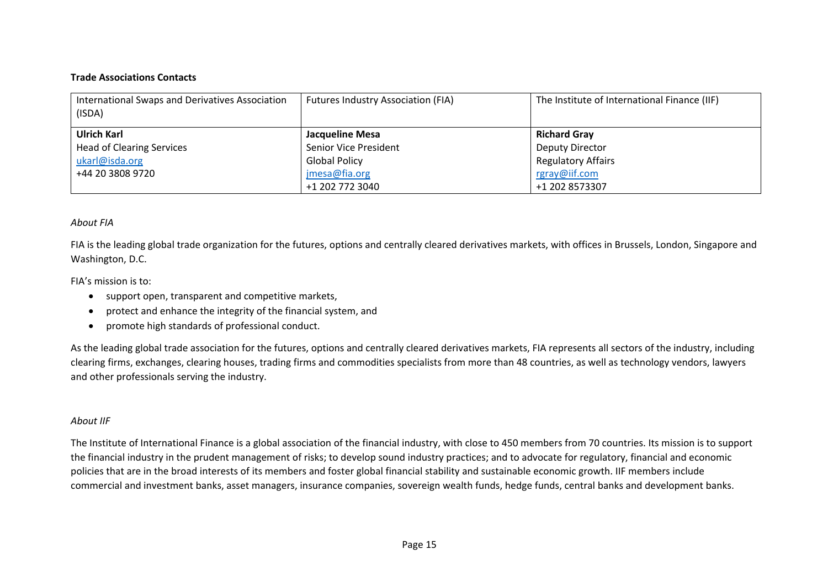## **Trade Associations Contacts**

| International Swaps and Derivatives Association<br>(ISDA) | Futures Industry Association (FIA) | The Institute of International Finance (IIF) |
|-----------------------------------------------------------|------------------------------------|----------------------------------------------|
| Ulrich Karl                                               | Jacqueline Mesa                    | <b>Richard Gray</b>                          |
| <b>Head of Clearing Services</b>                          | Senior Vice President              | Deputy Director                              |
| ukarl@isda.org                                            | <b>Global Policy</b>               | <b>Regulatory Affairs</b>                    |
| +44 20 3808 9720                                          | jmesa@fia.org                      | rgray@iif.com                                |
|                                                           | +1 202 772 3040                    | +1 202 8573307                               |

## *About FIA*

FIA is the leading global trade organization for the futures, options and centrally cleared derivatives markets, with offices in Brussels, London, Singapore and Washington, D.C.

## FIA's mission is to:

- support open, transparent and competitive markets,
- $\bullet$ protect and enhance the integrity of the financial system, and
- $\bullet$ promote high standards of professional conduct.

As the leading global trade association for the futures, options and centrally cleared derivatives markets, FIA represents all sectors of the industry, including clearing firms, exchanges, clearing houses, trading firms and commodities specialists from more than 48 countries, as well as technology vendors, lawyers and other professionals serving the industry.

## *About IIF*

The Institute of International Finance is a global association of the financial industry, with close to 450 members from 70 countries. Its mission is to support the financial industry in the prudent management of risks; to develop sound industry practices; and to advocate for regulatory, financial and economic policies that are in the broad interests of its members and foster global financial stability and sustainable economic growth. IIF members include commercial and investment banks, asset managers, insurance companies, sovereign wealth funds, hedge funds, central banks and development banks.